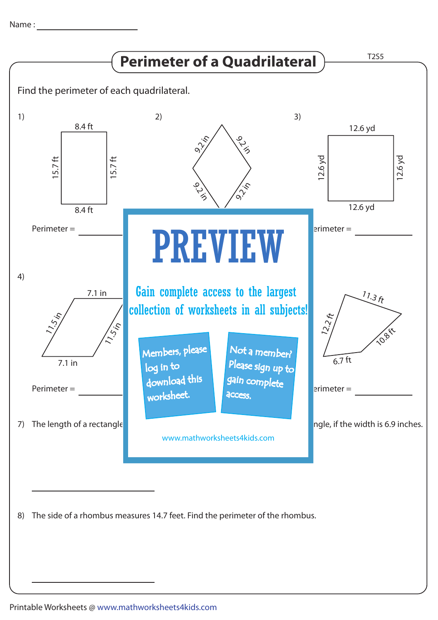